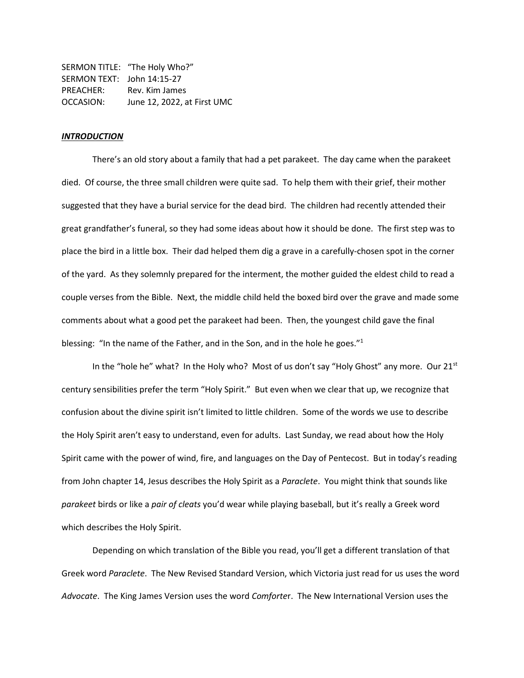SERMON TITLE: "The Holy Who?" SERMON TEXT: John 14:15-27 PREACHER: Rev. Kim James OCCASION: June 12, 2022, at First UMC

#### *INTRODUCTION*

There's an old story about a family that had a pet parakeet. The day came when the parakeet died. Of course, the three small children were quite sad. To help them with their grief, their mother suggested that they have a burial service for the dead bird. The children had recently attended their great grandfather's funeral, so they had some ideas about how it should be done. The first step was to place the bird in a little box. Their dad helped them dig a grave in a carefully-chosen spot in the corner of the yard. As they solemnly prepared for the interment, the mother guided the eldest child to read a couple verses from the Bible. Next, the middle child held the boxed bird over the grave and made some comments about what a good pet the parakeet had been. Then, the youngest child gave the final blessing: "In the name of the Father, and in the Son, and in the hole he goes."<sup>1</sup>

In the "hole he" what? In the Holy who? Most of us don't say "Holy Ghost" any more. Our  $21^{st}$ century sensibilities prefer the term "Holy Spirit." But even when we clear that up, we recognize that confusion about the divine spirit isn't limited to little children. Some of the words we use to describe the Holy Spirit aren't easy to understand, even for adults. Last Sunday, we read about how the Holy Spirit came with the power of wind, fire, and languages on the Day of Pentecost. But in today's reading from John chapter 14, Jesus describes the Holy Spirit as a *Paraclete*. You might think that sounds like *parakeet* birds or like a *pair of cleats* you'd wear while playing baseball, but it's really a Greek word which describes the Holy Spirit.

Depending on which translation of the Bible you read, you'll get a different translation of that Greek word *Paraclete*. The New Revised Standard Version, which Victoria just read for us uses the word *Advocate*. The King James Version uses the word *Comforte*r. The New International Version uses the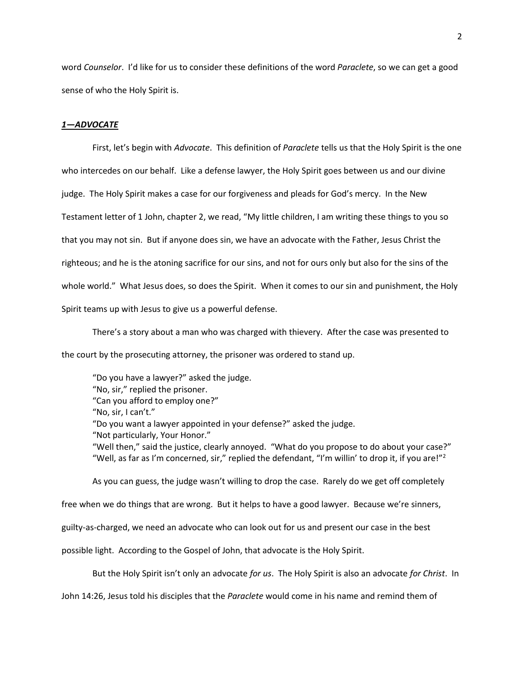word *Counselor*. I'd like for us to consider these definitions of the word *Paraclete*, so we can get a good sense of who the Holy Spirit is.

## *1—ADVOCATE*

First, let's begin with *Advocate*. This definition of *Paraclete* tells us that the Holy Spirit is the one who intercedes on our behalf. Like a defense lawyer, the Holy Spirit goes between us and our divine judge. The Holy Spirit makes a case for our forgiveness and pleads for God's mercy. In the New Testament letter of 1 John, chapter 2, we read, "My little children, I am writing these things to you so that you may not sin. But if anyone does sin, we have an advocate with the Father, Jesus Christ the righteous; and he is the atoning sacrifice for our sins, and not for ours only but also for the sins of the whole world." What Jesus does, so does the Spirit. When it comes to our sin and punishment, the Holy Spirit teams up with Jesus to give us a powerful defense.

There's a story about a man who was charged with thievery. After the case was presented to the court by the prosecuting attorney, the prisoner was ordered to stand up.

"Do you have a lawyer?" asked the judge. "No, sir," replied the prisoner. "Can you afford to employ one?" "No, sir, I can't." "Do you want a lawyer appointed in your defense?" asked the judge. "Not particularly, Your Honor." "Well then," said the justice, clearly annoyed. "What do you propose to do about your case?" "Well, as far as I'm concerned, sir," replied the defendant, "I'm willin' to drop it, if you are!"<sup>2</sup>

As you can guess, the judge wasn't willing to drop the case. Rarely do we get off completely free when we do things that are wrong. But it helps to have a good lawyer. Because we're sinners, guilty-as-charged, we need an advocate who can look out for us and present our case in the best possible light. According to the Gospel of John, that advocate is the Holy Spirit.

But the Holy Spirit isn't only an advocate *for us*. The Holy Spirit is also an advocate *for Christ*. In

John 14:26, Jesus told his disciples that the *Paraclete* would come in his name and remind them of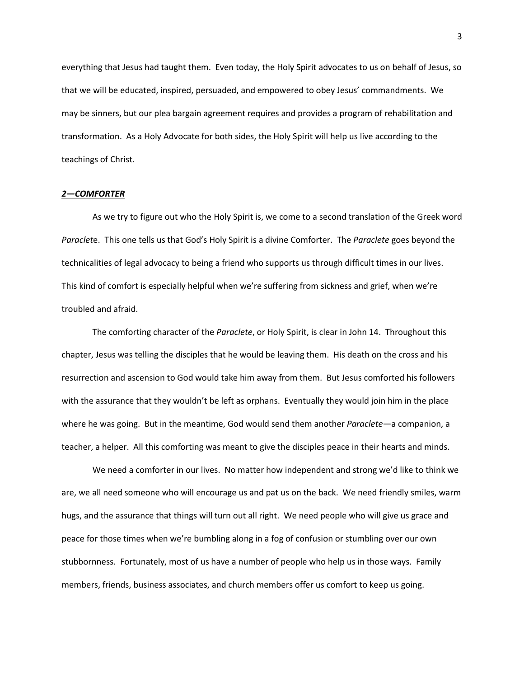everything that Jesus had taught them. Even today, the Holy Spirit advocates to us on behalf of Jesus, so that we will be educated, inspired, persuaded, and empowered to obey Jesus' commandments. We may be sinners, but our plea bargain agreement requires and provides a program of rehabilitation and transformation. As a Holy Advocate for both sides, the Holy Spirit will help us live according to the teachings of Christ.

### *2—COMFORTER*

As we try to figure out who the Holy Spirit is, we come to a second translation of the Greek word *Paraclet*e. This one tells us that God's Holy Spirit is a divine Comforter. The *Paraclete* goes beyond the technicalities of legal advocacy to being a friend who supports us through difficult times in our lives. This kind of comfort is especially helpful when we're suffering from sickness and grief, when we're troubled and afraid.

The comforting character of the *Paraclete*, or Holy Spirit, is clear in John 14. Throughout this chapter, Jesus was telling the disciples that he would be leaving them. His death on the cross and his resurrection and ascension to God would take him away from them. But Jesus comforted his followers with the assurance that they wouldn't be left as orphans. Eventually they would join him in the place where he was going. But in the meantime, God would send them another *Paraclete*—a companion, a teacher, a helper. All this comforting was meant to give the disciples peace in their hearts and minds.

We need a comforter in our lives. No matter how independent and strong we'd like to think we are, we all need someone who will encourage us and pat us on the back. We need friendly smiles, warm hugs, and the assurance that things will turn out all right. We need people who will give us grace and peace for those times when we're bumbling along in a fog of confusion or stumbling over our own stubbornness. Fortunately, most of us have a number of people who help us in those ways. Family members, friends, business associates, and church members offer us comfort to keep us going.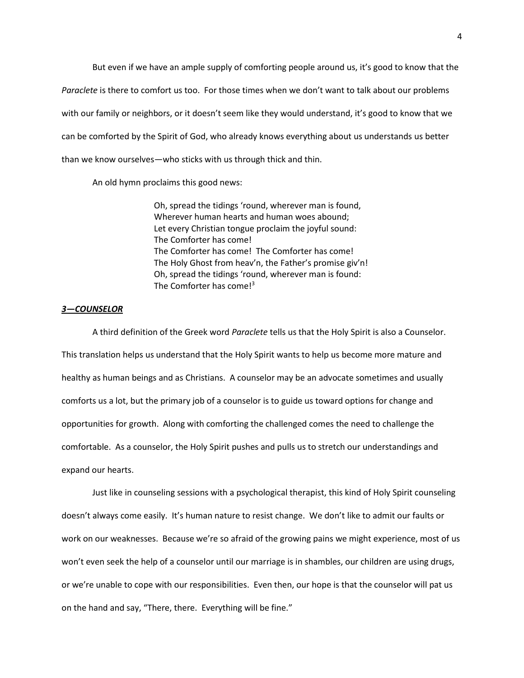But even if we have an ample supply of comforting people around us, it's good to know that the *Paraclete* is there to comfort us too. For those times when we don't want to talk about our problems with our family or neighbors, or it doesn't seem like they would understand, it's good to know that we can be comforted by the Spirit of God, who already knows everything about us understands us better than we know ourselves—who sticks with us through thick and thin.

An old hymn proclaims this good news:

Oh, spread the tidings 'round, wherever man is found, Wherever human hearts and human woes abound; Let every Christian tongue proclaim the joyful sound: The Comforter has come! The Comforter has come! The Comforter has come! The Holy Ghost from heav'n, the Father's promise giv'n! Oh, spread the tidings 'round, wherever man is found: The Comforter has come! $3$ 

# *3—COUNSELOR*

A third definition of the Greek word *Paraclete* tells us that the Holy Spirit is also a Counselor. This translation helps us understand that the Holy Spirit wants to help us become more mature and healthy as human beings and as Christians. A counselor may be an advocate sometimes and usually comforts us a lot, but the primary job of a counselor is to guide us toward options for change and opportunities for growth. Along with comforting the challenged comes the need to challenge the comfortable. As a counselor, the Holy Spirit pushes and pulls us to stretch our understandings and expand our hearts.

Just like in counseling sessions with a psychological therapist, this kind of Holy Spirit counseling doesn't always come easily. It's human nature to resist change. We don't like to admit our faults or work on our weaknesses. Because we're so afraid of the growing pains we might experience, most of us won't even seek the help of a counselor until our marriage is in shambles, our children are using drugs, or we're unable to cope with our responsibilities. Even then, our hope is that the counselor will pat us on the hand and say, "There, there. Everything will be fine."